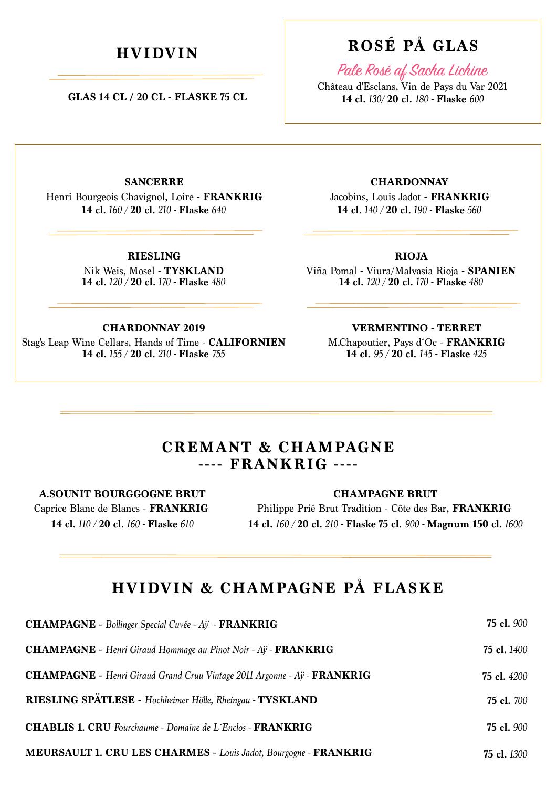**GLAS 14 CL / 20 CL - FLASKE 75 CL**

# **HVIDVIN ROSÉ PÅ GLAS**

Pale Rosé af Sacha Lichine

Château d'Esclans, Vin de Pays du Var 2021 **14 cl.** *130/* **20 cl.** *180 -* **Flaske** *600*

**SANCERRE**

Henri Bourgeois Chavignol, Loire - **FRANKRIG 14 cl.** *160 /* **20 cl.** *210 -* **Flaske** *640*

> **14 cl.** *120 /* **20 cl.** *170 -* **Flaske** *480* Nik Weis, Mosel - **TYSKLAND RIESLING**

Jacobins, Louis Jadot - **FRANKRIG CHARDONNAY**

**14 cl.** *140 /* **20 cl.** *190 -* **Flaske** *560*

**RIOJA**

**14 cl.** *120 /* **20 cl.** *170 -* **Flaske** *480* Viña Pomal - Viura/Malvasia Rioja - **SPANIEN**

#### **CHARDONNAY 2019**

**14 cl.** *155 /* **20 cl.** *210 -* **Flaske** *755* Stag's Leap Wine Cellars, Hands of Time - **CALIFORNIEN** M.Chapoutier, Pays d´Oc - **FRANKRIG VERMENTINO - TERRET**

**14 cl.** *95 /* **20 cl.** *145 -* **Flaske** *425*

### **CREMANT & CHAMPAGNE ---- FRANKRIG ----**

### **A.SOUNIT BOURGGOGNE BRUT**

Caprice Blanc de Blancs - **FRANKRIG 14 cl.** *110 /* **20 cl.** *160 -* **Flaske** *610*

**CHAMPAGNE BRUT**

Philippe Prié Brut Tradition - Côte des Bar, **FRANKRIG 14 cl.** *160 /* **20 cl.** *210 -* **Flaske 75 cl.** *900 -* **Magnum 150 cl.** *1600*

### **HVIDVIN & CHAMPAGNE PÅ FLASKE**

| <b>CHAMPAGNE</b> - Bollinger Special Cuvée - Aÿ - FRANKRIG                             | <b>75 cl.</b> 900  |
|----------------------------------------------------------------------------------------|--------------------|
| <b>CHAMPAGNE</b> - Henri Giraud Hommage au Pinot Noir - Ay - FRANKRIG                  | <b>75 cl.</b> 1400 |
| <b>CHAMPAGNE</b> - Henri Giraud Grand Cruu Vintage 2011 Argonne - Ay - <b>FRANKRIG</b> | <b>75 cl.</b> 4200 |
| RIESLING SPÄTLESE - Hochheimer Hölle, Rheingau - TYSKLAND                              | <b>75 cl.</b> 700  |
| <b>CHABLIS 1. CRU</b> Fourchaume - Domaine de L'Enclos - FRANKRIG                      | <b>75 cl.</b> 900  |
| <b>MEURSAULT 1. CRU LES CHARMES - Louis Jadot, Bourgogne - FRANKRIG</b>                | <b>75 cl.</b> 1300 |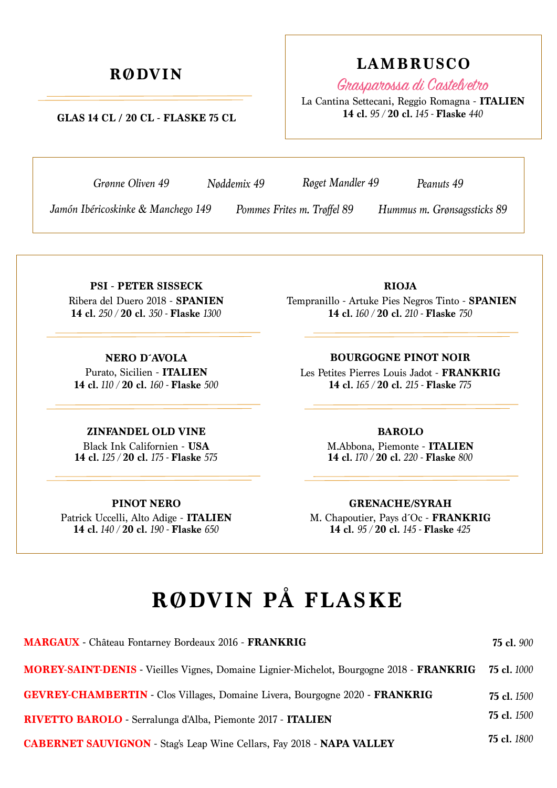### **GLAS 14 CL / 20 CL - FLASKE 75 CL**

*Grønne Oliven 49 Røget Mandler 49 Peanuts 49*

*Nøddemix 49*

*Jamón Ibéricoskinke & Manchego 149 Pommes Frites m. Trøffel 89 Hummus m. Grønsagssticks 89* 

*Pommes Frites m. Trøffel 89*

Ribera del Duero 2018 - **SPANIEN 14 cl.** *250 /* **20 cl.** *350 -* **Flaske** *1300* **PSI - PETER SISSECK**

Purato, Sicilien - **ITALIEN 14 cl.** *110 /* **20 cl.** *160 -* **Flaske** *500* **NERO D´AVOLA**

### **ZINFANDEL OLD VINE**

**14 cl.** *125 /* **20 cl.** *175 -* **Flaske** *575* Black Ink Californien - **USA**

#### **PINOT NERO**

**14 cl.** *140 /* **20 cl.** *190 -* **Flaske** *650* Patrick Uccelli, Alto Adige - **ITALIEN** **14 cl.** *160 /* **20 cl.** *210 -* **Flaske** *750*

Tempranillo - Artuke Pies Negros Tinto - **SPANIEN RIOJA**

**BOURGOGNE PINOT NOIR**

**14 cl.** *165 /* **20 cl.** *215 -* **Flaske** *775* Les Petites Pierres Louis Jadot - **FRANKRIG**

#### **BAROLO**

**14 cl.** *170 /* **20 cl.** *220 -* **Flaske** *800* M.Abbona, Piemonte - **ITALIEN**

#### **GRENACHE/SYRAH**

**14 cl.** *95 /* **20 cl.** *145 -* **Flaske** *425* M. Chapoutier, Pays d´Oc - **FRANKRIG**

# **RØDVIN PÅ FLASKE**

| <b>MARGAUX</b> - Château Fontarney Bordeaux 2016 - FRANKRIG                                                 | <b>75 cl.</b> 900  |
|-------------------------------------------------------------------------------------------------------------|--------------------|
| <b>MOREY-SAINT-DENIS</b> - Vieilles Vignes, Domaine Lignier-Michelot, Bourgogne 2018 - FRANKRIG 75 cl. 1000 |                    |
| <b>GEVREY-CHAMBERTIN</b> - Clos Villages, Domaine Livera, Bourgogne 2020 - FRANKRIG                         | <b>75 cl.</b> 1500 |
| RIVETTO BAROLO - Serralunga d'Alba, Piemonte 2017 - ITALIEN                                                 | <b>75 cl.</b> 1500 |
| <b>CABERNET SAUVIGNON</b> - Stag's Leap Wine Cellars, Fay 2018 - NAPA VALLEY                                | <b>75 cl.</b> 1800 |

# **RØDVIN LAMBRUSCO**

La Cantina Settecani, Reggio Romagna - **ITALIEN 14 cl.** *95 /* **20 cl.** *145 -* **Flaske** *440*

Grasparossa di Castelvetro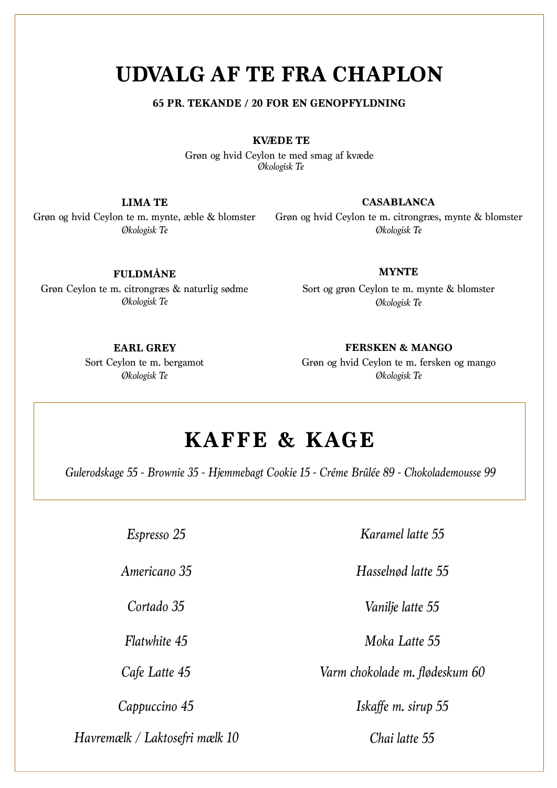# **UDVALG AF TE FRA CHAPLON**

### **65 PR. TEKANDE / 20 FOR EN GENOPFYLDNING**

**KVÆDE TE**

*Økologisk Te* Grøn og hvid Ceylon te med smag af kvæde

Grøn og hvid Ceylon te m. mynte, æble & blomster *Økologisk Te* **LIMA TE**

#### **CASABLANCA**

*Økologisk Te* Grøn og hvid Ceylon te m. citrongræs, mynte & blomster

**FULDMÅNE**

Grøn Ceylon te m. citrongræs & naturlig sødme *Økologisk Te*

#### **MYNTE**

*Økologisk Te* Sort og grøn Ceylon te m. mynte & blomster

**EARL GREY**

*Økologisk Te* Sort Ceylon te m. bergamot **FERSKEN & MANGO**

*Økologisk Te* Grøn og hvid Ceylon te m. fersken og mango

# **KAFFE & KAGE**

*Gulerodskage 55 - Brownie 35 - Hjemmebagt Cookie 15 - Créme Brûlée 89 - Chokolademousse 99*

*Espresso 25*

*Americano 35*

*Cortado 35*

*Flatwhite 45*

*Cafe Latte 45*

*Havremælk / Laktosefri mælk 10 Chai latte 55*

*Karamel latte 55*

*Hasselnød latte 55*

*Vanilje latte 55*

*Moka Latte 55*

*Varm chokolade m. flødeskum 60*

*Cappuccino 45 Iskaffe m. sirup 55*